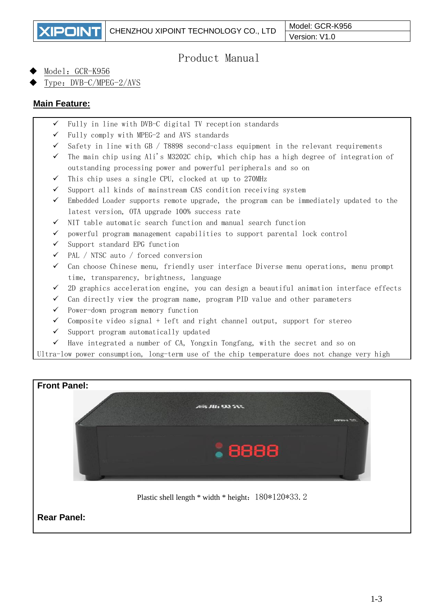**XIPOINT** 

# Product Manual

Model: GCR-K956

Type: DVB-C/MPEG-2/AVS

# **Main Feature:**

- $\checkmark$  Fully in line with DVB-C digital TV reception standards
- $\checkmark$  Fully comply with MPEG-2 and AVS standards
- $\checkmark$  Safety in line with GB / T8898 second-class equipment in the relevant requirements
- $\checkmark$  The main chip using Ali's M3202C chip, which chip has a high degree of integration of outstanding processing power and powerful peripherals and so on
- ✓ This chip uses a single CPU, clocked at up to 270MHz
- $\checkmark$  Support all kinds of mainstream CAS condition receiving system
- $\checkmark$  Embedded Loader supports remote upgrade, the program can be immediately updated to the latest version, OTA upgrade 100% success rate
- ✓ NIT table automatic search function and manual search function
- $\checkmark$  powerful program management capabilities to support parental lock control
- ✓ Support standard EPG function
- ✓ PAL / NTSC auto / forced conversion
- $\checkmark$  Can choose Chinese menu, friendly user interface Diverse menu operations, menu prompt time, transparency, brightness, language
- $\checkmark$  2D graphics acceleration engine, you can design a beautiful animation interface effects
- ✓ Can directly view the program name, program PID value and other parameters
- ✓ Power-down program memory function
- $\checkmark$  Composite video signal + left and right channel output, support for stereo
- ✓ Support program automatically updated
- $\checkmark$  Have integrated a number of CA, Yongxin Tongfang, with the secret and so on

Ultra-low power consumption, long-term use of the chip temperature does not change very high

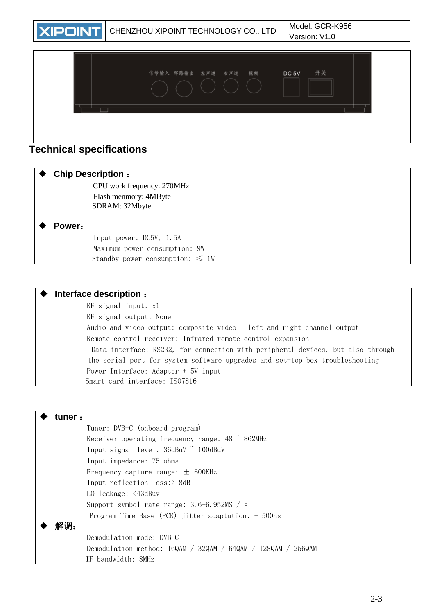

# **Technical specifications**

#### **Chip Description** :

 CPU work frequency: 270MHz FIash menmory: 4MByte SDRAM: 32Mbyte

#### **Power**:

 Input power: DC5V, 1.5A Maximum power consumption: 9W Standby power consumption:  $\leq 1W$ 

#### **Interface description** :

RF signal input: x1 RF signal output: None Audio and video output: composite video + left and right channel output Remote control receiver: Infrared remote control expansion Data interface: RS232, for connection with peripheral devices, but also through the serial port for system software upgrades and set-top box troubleshooting Power Interface: Adapter + 5V input Smart card interface: ISO7816

| tuner : |                                                              |
|---------|--------------------------------------------------------------|
|         | Tuner: DVB-C (onboard program)                               |
|         | Receiver operating frequency range: $48 \degree$ 862MHz      |
|         | Input signal level: 36dBuV ~ 100dBuV                         |
|         | Input impedance: 75 ohms                                     |
|         | Frequency capture range: $\pm$ 600KHz                        |
|         | Input reflection $loss$ :> 8dB                               |
|         | LO leakage: <43dBuv                                          |
|         | Support symbol rate range: $3.6-6.952MS / s$                 |
|         | Program Time Base (PCR) jitter adaptation: $+500$ ns         |
| 解调:     |                                                              |
|         | Demodulation mode: DVB-C                                     |
|         | Demodulation method: 16QAM / 32QAM / 64QAM / 128QAM / 256QAM |
|         | IF bandwidth: 8MHz                                           |
|         |                                                              |